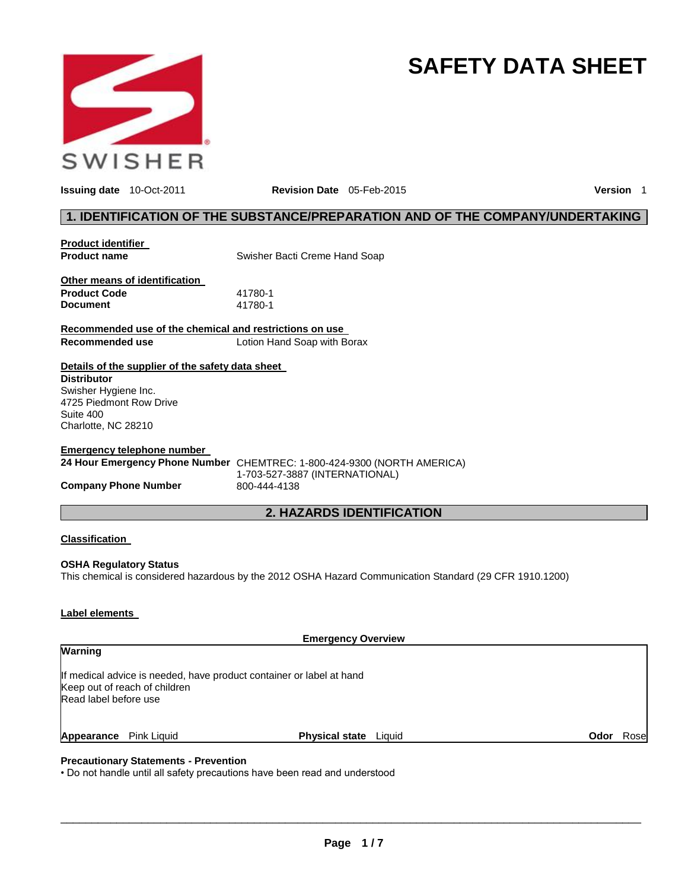

# **SAFETY DATA SHEET**

**Issuing date** 10-Oct-2011 **Revision Date** 05-Feb-2015 **Version** 1

#### **1. IDENTIFICATION OF THE SUBSTANCE/PREPARATION AND OF THE COMPANY/UNDERTAKING**

| <b>Product identifier</b>                               |                                                                         |
|---------------------------------------------------------|-------------------------------------------------------------------------|
| <b>Product name</b>                                     | Swisher Bacti Creme Hand Soap                                           |
|                                                         |                                                                         |
| Other means of identification                           |                                                                         |
| <b>Product Code</b>                                     | 41780-1                                                                 |
| <b>Document</b>                                         | 41780-1                                                                 |
| Recommended use of the chemical and restrictions on use |                                                                         |
| Recommended use                                         | Lotion Hand Soap with Borax                                             |
| Details of the supplier of the safety data sheet        |                                                                         |
| <b>Distributor</b>                                      |                                                                         |
| Swisher Hygiene Inc.                                    |                                                                         |
| 4725 Piedmont Row Drive                                 |                                                                         |
| Suite 400                                               |                                                                         |
| Charlotte, NC 28210                                     |                                                                         |
| Emergency telephone number                              |                                                                         |
|                                                         |                                                                         |
|                                                         | 24 Hour Emergency Phone Number CHEMTREC: 1-800-424-9300 (NORTH AMERICA) |
| <b>Company Phone Number</b>                             | 1-703-527-3887 (INTERNATIONAL)<br>800-444-4138                          |
|                                                         |                                                                         |
|                                                         | <b>2. HAZARDS IDENTIFICATION</b>                                        |
|                                                         |                                                                         |
| <b>Classification</b>                                   |                                                                         |
| <b>OCHA Demolations Clatter</b>                         |                                                                         |

**OSHA Regulatory Status** This chemical is considered hazardous by the 2012 OSHA Hazard Communication Standard (29 CFR 1910.1200)

#### **Label elements**

| <b>Emergency Overview</b> |                               |                                                                      |      |       |
|---------------------------|-------------------------------|----------------------------------------------------------------------|------|-------|
| <b>Warning</b>            |                               |                                                                      |      |       |
| Read label before use     | Keep out of reach of children | If medical advice is needed, have product container or label at hand |      |       |
| Appearance Pink Liquid    |                               | <b>Physical state</b> Liquid                                         | Odor | Rosel |

#### **Precautionary Statements - Prevention**

• Do not handle until all safety precautions have been read and understood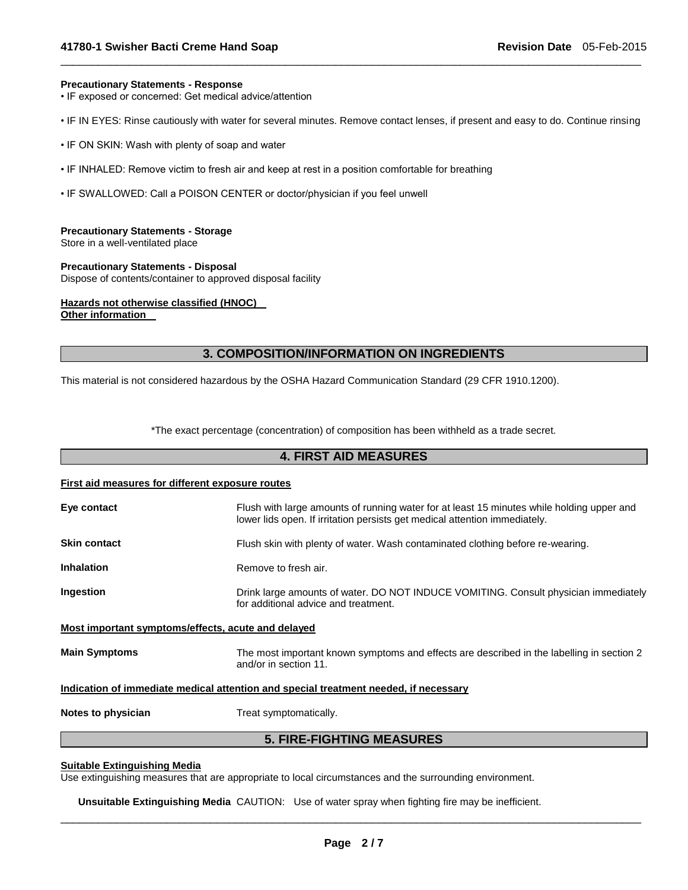#### **Precautionary Statements - Response**

• IF exposed or concerned: Get medical advice/attention

• IF IN EYES: Rinse cautiously with water for several minutes. Remove contact lenses, if present and easy to do. Continue rinsing

\_\_\_\_\_\_\_\_\_\_\_\_\_\_\_\_\_\_\_\_\_\_\_\_\_\_\_\_\_\_\_\_\_\_\_\_\_\_\_\_\_\_\_\_\_\_\_\_\_\_\_\_\_\_\_\_\_\_\_\_\_\_\_\_\_\_\_\_\_\_\_\_\_\_\_\_\_\_\_\_\_\_\_\_\_\_\_\_\_\_\_\_\_

- IF ON SKIN: Wash with plenty of soap and water
- IF INHALED: Remove victim to fresh air and keep at rest in a position comfortable for breathing
- IF SWALLOWED: Call a POISON CENTER or doctor/physician if you feel unwell

#### **Precautionary Statements - Storage**

Store in a well-ventilated place

**Precautionary Statements - Disposal** Dispose of contents/container to approved disposal facility

### **Hazards not otherwise classified (HNOC)**

**Other information** 

#### **3. COMPOSITION/INFORMATION ON INGREDIENTS**

This material is not considered hazardous by the OSHA Hazard Communication Standard (29 CFR 1910.1200).

\*The exact percentage (concentration) of composition has been withheld as a trade secret.

#### **4. FIRST AID MEASURES**

## **First aid measures for different exposure routes Eye contact** Flush with large amounts of running water for at least 15 minutes while holding upper and lower lids open. If irritation persists get medical attention immediately. **Skin contact** Flush skin with plenty of water. Wash contaminated clothing before re-wearing. **Inhalation Remove to fresh air.**

**Ingestion** Drink large amounts of water. DO NOT INDUCE VOMITING. Consult physician immediately for additional advice and treatment.

#### **Most important symptoms/effects, acute and delayed**

**Main Symptoms** The most important known symptoms and effects are described in the labelling in section 2 and/or in section 11.

#### **Indication of immediate medical attention and special treatment needed, if necessary**

**Notes to physician** Treat symptomatically.

#### **5. FIRE-FIGHTING MEASURES**

#### **Suitable Extinguishing Media**

Use extinguishing measures that are appropriate to local circumstances and the surrounding environment.

**Unsuitable Extinguishing Media** CAUTION: Use of water spray when fighting fire may be inefficient.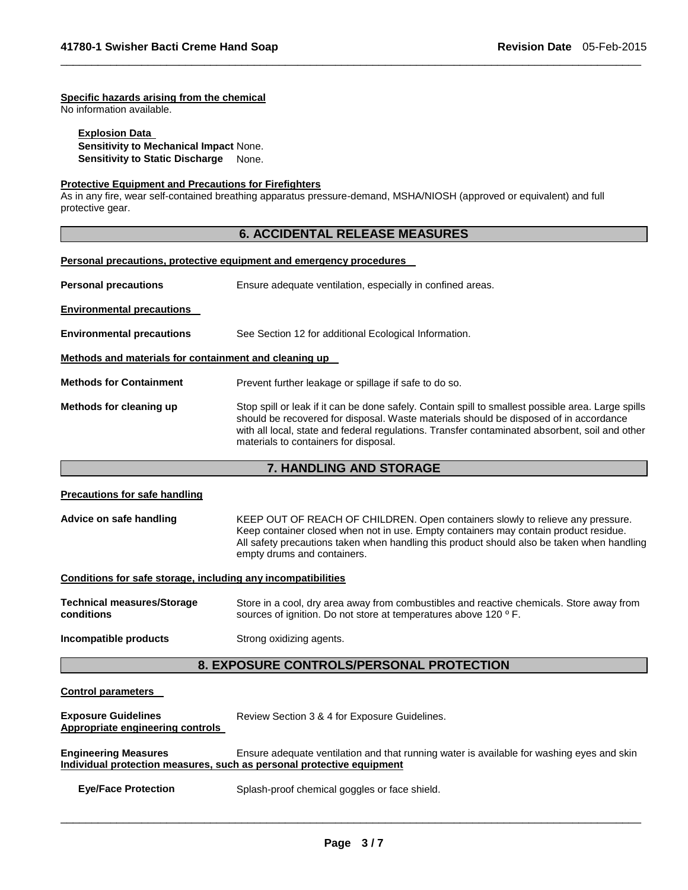#### **Specific hazards arising from the chemical**

No information available.

#### **Explosion Data Sensitivity to Mechanical Impact** None. **Sensitivity to Static Discharge** None.

#### **Protective Equipment and Precautions for Firefighters**

As in any fire, wear self-contained breathing apparatus pressure-demand, MSHA/NIOSH (approved or equivalent) and full protective gear.

#### **6. ACCIDENTAL RELEASE MEASURES**

\_\_\_\_\_\_\_\_\_\_\_\_\_\_\_\_\_\_\_\_\_\_\_\_\_\_\_\_\_\_\_\_\_\_\_\_\_\_\_\_\_\_\_\_\_\_\_\_\_\_\_\_\_\_\_\_\_\_\_\_\_\_\_\_\_\_\_\_\_\_\_\_\_\_\_\_\_\_\_\_\_\_\_\_\_\_\_\_\_\_\_\_\_

#### **Personal precautions, protective equipment and emergency procedures**

| <b>Personal precautions</b>                           | Ensure adequate ventilation, especially in confined areas.                                                                                                                                                                                                                                                                             |  |  |  |  |  |
|-------------------------------------------------------|----------------------------------------------------------------------------------------------------------------------------------------------------------------------------------------------------------------------------------------------------------------------------------------------------------------------------------------|--|--|--|--|--|
| <b>Environmental precautions</b>                      |                                                                                                                                                                                                                                                                                                                                        |  |  |  |  |  |
| <b>Environmental precautions</b>                      | See Section 12 for additional Ecological Information.                                                                                                                                                                                                                                                                                  |  |  |  |  |  |
| Methods and materials for containment and cleaning up |                                                                                                                                                                                                                                                                                                                                        |  |  |  |  |  |
| <b>Methods for Containment</b>                        | Prevent further leakage or spillage if safe to do so.                                                                                                                                                                                                                                                                                  |  |  |  |  |  |
| Methods for cleaning up                               | Stop spill or leak if it can be done safely. Contain spill to smallest possible area. Large spills<br>should be recovered for disposal. Waste materials should be disposed of in accordance<br>with all local, state and federal regulations. Transfer contaminated absorbent, soil and other<br>materials to containers for disposal. |  |  |  |  |  |

#### **7. HANDLING AND STORAGE**

### **Precautions for safe handling Advice on safe handling** KEEP OUT OF REACH OF CHILDREN. Open containers slowly to relieve any pressure. Keep container closed when not in use. Empty containers may contain product residue. All safety precautions taken when handling this product should also be taken when handling empty drums and containers. **Conditions for safe storage, including any incompatibilities Technical measures/Storage conditions**  Store in a cool, dry area away from combustibles and reactive chemicals. Store away from sources of ignition. Do not store at temperatures above 120 ° F. **Incompatible products Strong oxidizing agents. 8. EXPOSURE CONTROLS/PERSONAL PROTECTION**

#### **Control parameters**

| <b>Exposure Guidelines</b><br><b>Appropriate engineering controls</b>                                | Review Section 3 & 4 for Exposure Guidelines.                                             |  |  |
|------------------------------------------------------------------------------------------------------|-------------------------------------------------------------------------------------------|--|--|
| <b>Engineering Measures</b><br>Individual protection measures, such as personal protective equipment | Ensure adequate ventilation and that running water is available for washing eyes and skin |  |  |
| <b>Eye/Face Protection</b>                                                                           | Splash-proof chemical goggles or face shield.                                             |  |  |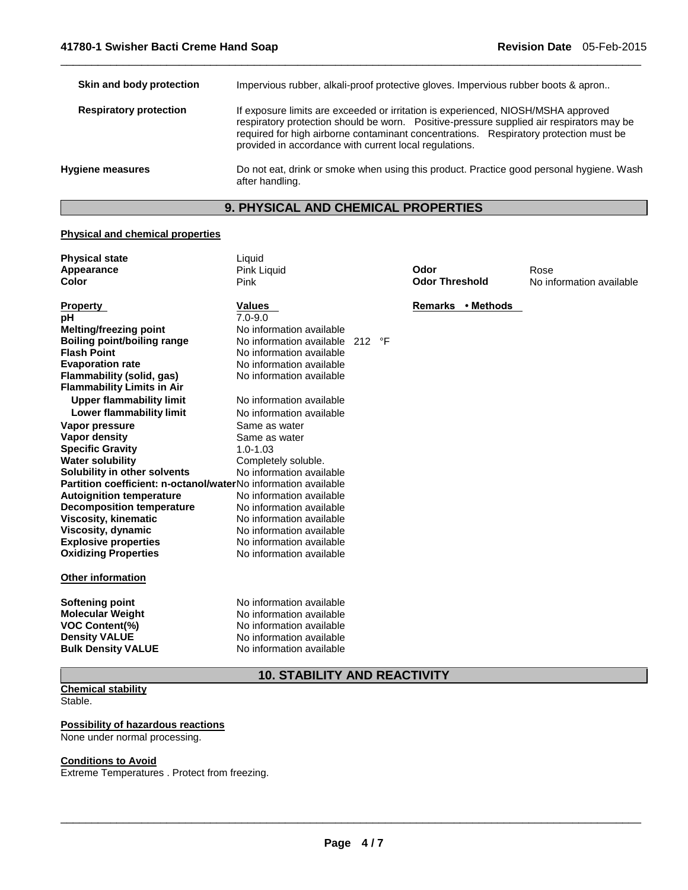| Skin and body protection      | Impervious rubber, alkali-proof protective gloves. Impervious rubber boots & apron                                                                                                                                                                                                                                               |  |  |  |
|-------------------------------|----------------------------------------------------------------------------------------------------------------------------------------------------------------------------------------------------------------------------------------------------------------------------------------------------------------------------------|--|--|--|
| <b>Respiratory protection</b> | If exposure limits are exceeded or irritation is experienced, NIOSH/MSHA approved<br>respiratory protection should be worn. Positive-pressure supplied air respirators may be<br>required for high airborne contaminant concentrations. Respiratory protection must be<br>provided in accordance with current local regulations. |  |  |  |
| <b>Hygiene measures</b>       | Do not eat, drink or smoke when using this product. Practice good personal hygiene. Wash<br>after handling.                                                                                                                                                                                                                      |  |  |  |

\_\_\_\_\_\_\_\_\_\_\_\_\_\_\_\_\_\_\_\_\_\_\_\_\_\_\_\_\_\_\_\_\_\_\_\_\_\_\_\_\_\_\_\_\_\_\_\_\_\_\_\_\_\_\_\_\_\_\_\_\_\_\_\_\_\_\_\_\_\_\_\_\_\_\_\_\_\_\_\_\_\_\_\_\_\_\_\_\_\_\_\_\_

### **9. PHYSICAL AND CHEMICAL PROPERTIES**

#### **Physical and chemical properties**

| <b>Physical state</b>                                          | Liquid                   |           |  |                       |                   |                          |
|----------------------------------------------------------------|--------------------------|-----------|--|-----------------------|-------------------|--------------------------|
| Appearance                                                     | <b>Pink Liquid</b>       |           |  | Odor                  |                   | Rose                     |
| Color                                                          | Pink                     |           |  | <b>Odor Threshold</b> |                   | No information available |
|                                                                |                          |           |  |                       |                   |                          |
| <b>Property</b>                                                | <b>Values</b>            |           |  |                       | Remarks • Methods |                          |
| рH                                                             | $7.0 - 9.0$              |           |  |                       |                   |                          |
| <b>Melting/freezing point</b>                                  | No information available |           |  |                       |                   |                          |
| <b>Boiling point/boiling range</b><br><b>Flash Point</b>       | No information available | 212<br>°F |  |                       |                   |                          |
|                                                                | No information available |           |  |                       |                   |                          |
| <b>Evaporation rate</b>                                        | No information available |           |  |                       |                   |                          |
| Flammability (solid, gas)                                      | No information available |           |  |                       |                   |                          |
| <b>Flammability Limits in Air</b>                              |                          |           |  |                       |                   |                          |
| <b>Upper flammability limit</b>                                | No information available |           |  |                       |                   |                          |
| Lower flammability limit                                       | No information available |           |  |                       |                   |                          |
| Vapor pressure                                                 | Same as water            |           |  |                       |                   |                          |
| Vapor density                                                  | Same as water            |           |  |                       |                   |                          |
| <b>Specific Gravity</b>                                        | $1.0 - 1.03$             |           |  |                       |                   |                          |
| <b>Water solubility</b>                                        | Completely soluble.      |           |  |                       |                   |                          |
| Solubility in other solvents                                   | No information available |           |  |                       |                   |                          |
| Partition coefficient: n-octanol/waterNo information available |                          |           |  |                       |                   |                          |
| <b>Autoignition temperature</b>                                | No information available |           |  |                       |                   |                          |
| <b>Decomposition temperature</b>                               | No information available |           |  |                       |                   |                          |
| <b>Viscosity, kinematic</b>                                    | No information available |           |  |                       |                   |                          |
| <b>Viscosity, dynamic</b>                                      | No information available |           |  |                       |                   |                          |
| <b>Explosive properties</b>                                    | No information available |           |  |                       |                   |                          |
| <b>Oxidizing Properties</b>                                    | No information available |           |  |                       |                   |                          |
| <b>Other information</b>                                       |                          |           |  |                       |                   |                          |
| <b>Softening point</b>                                         | No information available |           |  |                       |                   |                          |
| <b>Molecular Weight</b>                                        | No information available |           |  |                       |                   |                          |
| VOC Content(%)                                                 | No information available |           |  |                       |                   |                          |
| <b>Density VALUE</b>                                           | No information available |           |  |                       |                   |                          |
| <b>Bulk Density VALUE</b>                                      | No information available |           |  |                       |                   |                          |
| <b>10. STABILITY AND REACTIVITY</b>                            |                          |           |  |                       |                   |                          |

### **Chemical stability**

Stable.

#### **Possibility of hazardous reactions**

None under normal processing.

#### **Conditions to Avoid**

Extreme Temperatures . Protect from freezing.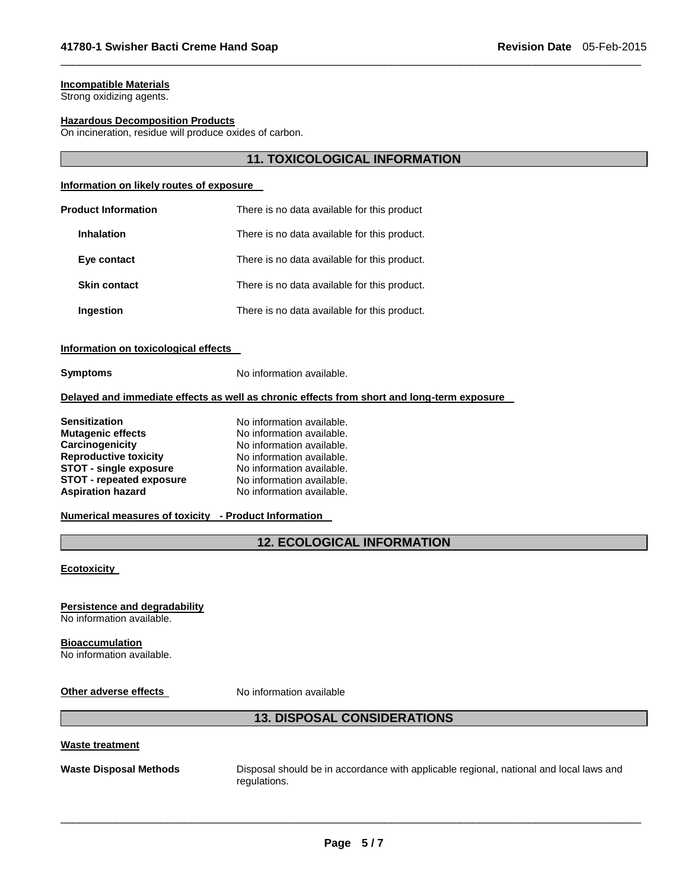#### **Incompatible Materials**

Strong oxidizing agents.

#### **Hazardous Decomposition Products**

On incineration, residue will produce oxides of carbon.

#### **11. TOXICOLOGICAL INFORMATION**

\_\_\_\_\_\_\_\_\_\_\_\_\_\_\_\_\_\_\_\_\_\_\_\_\_\_\_\_\_\_\_\_\_\_\_\_\_\_\_\_\_\_\_\_\_\_\_\_\_\_\_\_\_\_\_\_\_\_\_\_\_\_\_\_\_\_\_\_\_\_\_\_\_\_\_\_\_\_\_\_\_\_\_\_\_\_\_\_\_\_\_\_\_

#### **Information on likely routes of exposure**

| <b>Product Information</b> | There is no data available for this product  |
|----------------------------|----------------------------------------------|
| <b>Inhalation</b>          | There is no data available for this product. |
| Eye contact                | There is no data available for this product. |
| <b>Skin contact</b>        | There is no data available for this product. |
| Ingestion                  | There is no data available for this product. |

#### **Information on toxicological effects**

**Symptoms** No information available.

#### **Delayed and immediate effects as well as chronic effects from short and long-term exposure**

| <b>Sensitization</b>            | No information available. |
|---------------------------------|---------------------------|
| <b>Mutagenic effects</b>        | No information available. |
| Carcinogenicity                 | No information available. |
| <b>Reproductive toxicity</b>    | No information available. |
| <b>STOT - single exposure</b>   | No information available. |
| <b>STOT - repeated exposure</b> | No information available. |
| <b>Aspiration hazard</b>        | No information available. |

#### **Numerical measures of toxicity - Product Information**

#### **12. ECOLOGICAL INFORMATION**

#### **Ecotoxicity**

#### **Persistence and degradability**

No information available.

### **Bioaccumulation**

No information available.

**Other adverse effects** No information available

### **13. DISPOSAL CONSIDERATIONS**

#### **Waste treatment**

**Waste Disposal Methods** Disposal should be in accordance with applicable regional, national and local laws and regulations.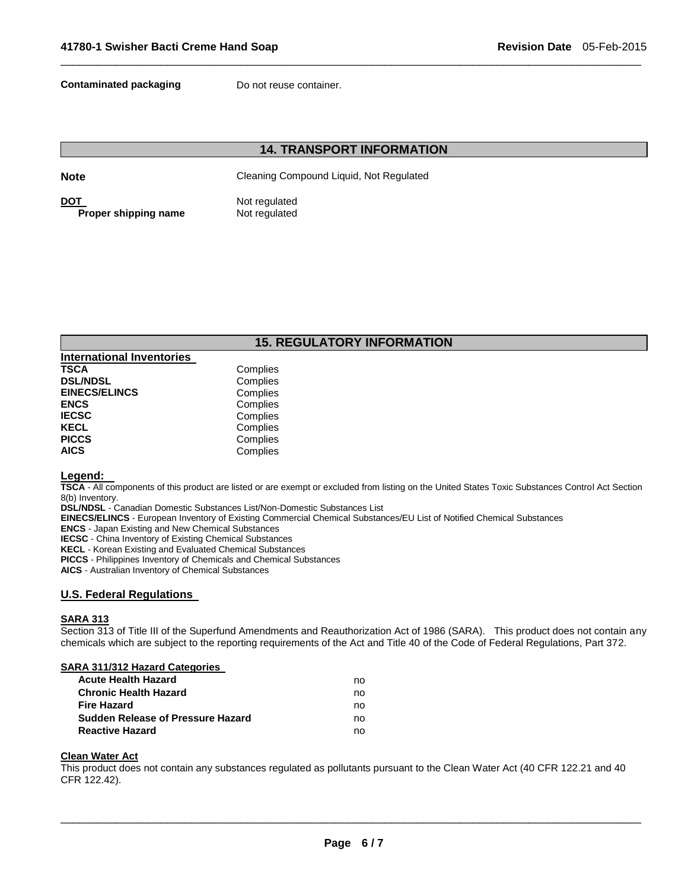**Contaminated packaging Theory Do not reuse container.** 

### **14. TRANSPORT INFORMATION**

\_\_\_\_\_\_\_\_\_\_\_\_\_\_\_\_\_\_\_\_\_\_\_\_\_\_\_\_\_\_\_\_\_\_\_\_\_\_\_\_\_\_\_\_\_\_\_\_\_\_\_\_\_\_\_\_\_\_\_\_\_\_\_\_\_\_\_\_\_\_\_\_\_\_\_\_\_\_\_\_\_\_\_\_\_\_\_\_\_\_\_\_\_

**Note** Cleaning Compound Liquid, Not Regulated

**DOT** Not regulated **Proper shipping name** Not regulated

### **15. REGULATORY INFORMATION**

| Complies |
|----------|
| Complies |
| Complies |
| Complies |
| Complies |
| Complies |
| Complies |
| Complies |
|          |

#### **Legend:**

**TSCA** - All components of this product are listed or are exempt or excluded from listing on the United States Toxic Substances Control Act Section 8(b) Inventory.

**DSL/NDSL** - Canadian Domestic Substances List/Non-Domestic Substances List

**EINECS/ELINCS** - European Inventory of Existing Commercial Chemical Substances/EU List of Notified Chemical Substances

**ENCS** - Japan Existing and New Chemical Substances

**IECSC** - China Inventory of Existing Chemical Substances

**KECL** - Korean Existing and Evaluated Chemical Substances

**PICCS** - Philippines Inventory of Chemicals and Chemical Substances

**AICS** - Australian Inventory of Chemical Substances

#### **U.S. Federal Regulations**

#### **SARA 313**

Section 313 of Title III of the Superfund Amendments and Reauthorization Act of 1986 (SARA). This product does not contain any chemicals which are subject to the reporting requirements of the Act and Title 40 of the Code of Federal Regulations, Part 372.

#### **SARA 311/312 Hazard Categories**

| <b>Acute Health Hazard</b>               | no |
|------------------------------------------|----|
| <b>Chronic Health Hazard</b>             | no |
| <b>Fire Hazard</b>                       | no |
| <b>Sudden Release of Pressure Hazard</b> | no |
| <b>Reactive Hazard</b>                   | no |

#### **Clean Water Act**

This product does not contain any substances regulated as pollutants pursuant to the Clean Water Act (40 CFR 122.21 and 40 CFR 122.42).